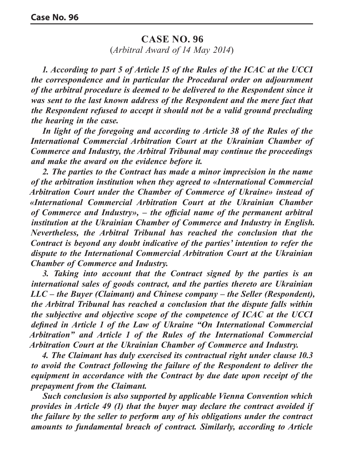## **CASE NO. 96**

(*Arbitral Award of 14 May 2014*)

*1. According to part 5 of Article 15 of the Rules of the ICAC at the UCCI the correspondence and in particular the Procedural order on adjournment of the arbitral procedure is deemed to be delivered to the Respondent since it was sent to the last known address of the Respondent and the mere fact that the Respondent refused to accept it should not be a valid ground precluding the hearing in the case.* 

*In light of the foregoing and according to Article 38 of the Rules of the International Commercial Arbitration Court at the Ukrainian Chamber of Commerce and Industry, the Arbitral Tribunal may continue the proceedings and make the award on the evidence before it.*

*2. The parties to the Contract has made a minor imprecision in the name of the arbitration institution when they agreed to «International Commercial Arbitration Court under the Chamber of Commerce of Ukraine» instead of «International Commercial Arbitration Court at the Ukrainian Chamber of Commerce and Industry», – the official name of the permanent arbitral institution at the Ukrainian Chamber of Commerce and Industry in English. Nevertheless, the Arbitral Tribunal has reached the conclusion that the Contract is beyond any doubt indicative of the parties' intention to refer the dispute to the International Commercial Arbitration Court at the Ukrainian Chamber of Commerce and Industry.*

*3. Taking into account that the Contract signed by the parties is an international sales of goods contract, and the parties thereto are Ukrainian LLC – the Buyer (Claimant) and Chinese company – the Seller (Respondent), the Arbitral Tribunal has reached a conclusion that the dispute falls within the subjective and objective scope of the competence of ICAC at the UCCI defined in Article 1 of the Law of Ukraine "On International Commercial Arbitration" and Article 1 of the Rules of the International Commercial Arbitration Court at the Ukrainian Chamber of Commerce and Industry.*

*4. The Claimant has duly exercised its contractual right under clause 10.3 to avoid the Contract following the failure of the Respondent to deliver the equipment in accordance with the Contract by due date upon receipt of the prepayment from the Claimant.* 

*Such conclusion is also supported by applicable Vienna Convention which provides in Article 49 (1) that the buyer may declare the contract avoided if the failure by the seller to perform any of his obligations under the contract amounts to fundamental breach of contract. Similarly, according to Article*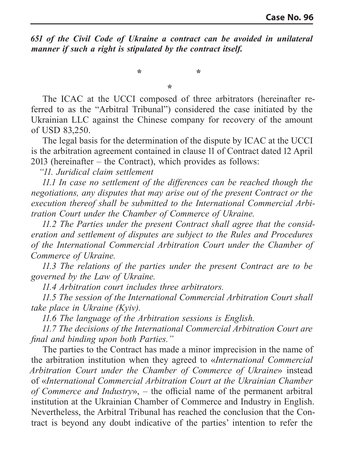*651 of the Civil Code of Ukraine a contract can be avoided in unilateral manner if such a right is stipulated by the contract itself.* 

**\* \***

**\***

The ICAC at the UCCI composed of three arbitrators (hereinafter referred to as the "Arbitral Tribunal") considered the case initiated by the Ukrainian LLC against the Chinese company for recovery of the amount of USD 83,250.

The legal basis for the determination of the dispute by ICAC at the UCCI is the arbitration agreement contained in clause 11 of Contract dated 12 April 2013 (hereinafter – the Contract), which provides as follows:

*"11. Juridical claim settlement*

*11.1 In case no settlement of the differences can be reached though the negotiations, any disputes that may arise out of the present Contract or the execution thereof shall be submitted to the International Commercial Arbitration Court under the Chamber of Commerce of Ukraine.*

*11.2 The Parties under the present Contract shall agree that the consideration and settlement of disputes are subject to the Rules and Procedures of the International Commercial Arbitration Court under the Chamber of Commerce of Ukraine.*

*11.3 The relations of the parties under the present Contract are to be governed by the Law of Ukraine.*

*11.4 Arbitration court includes three arbitrators.*

*11.5 The session of the International Commercial Arbitration Court shall take place in Ukraine (Kyiv).*

*11.6 The language of the Arbitration sessions is English.*

*11.7 The decisions of the International Commercial Arbitration Court are final and binding upon both Parties."*

The parties to the Contract has made a minor imprecision in the name of the arbitration institution when they agreed to «*International Commercial Arbitration Court under the Chamber of Commerce of Ukraine*» instead of «*International Commercial Arbitration Court at the Ukrainian Chamber of Commerce and Industry*», – the official name of the permanent arbitral institution at the Ukrainian Chamber of Commerce and Industry in English. Nevertheless, the Arbitral Tribunal has reached the conclusion that the Contract is beyond any doubt indicative of the parties' intention to refer the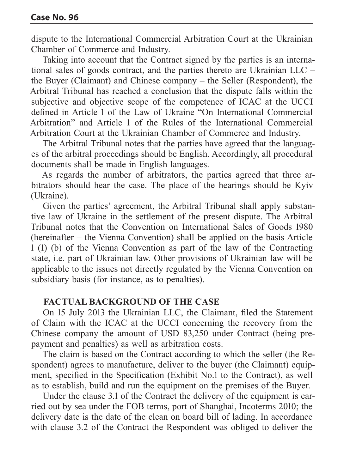dispute to the International Commercial Arbitration Court at the Ukrainian Chamber of Commerce and Industry.

Taking into account that the Contract signed by the parties is an international sales of goods contract, and the parties thereto are Ukrainian LLC – the Buyer (Claimant) and Chinese company – the Seller (Respondent), the Arbitral Tribunal has reached a conclusion that the dispute falls within the subjective and objective scope of the competence of ICAC at the UCCI defined in Article 1 of the Law of Ukraine "On International Commercial Arbitration" and Article 1 of the Rules of the International Commercial Arbitration Court at the Ukrainian Chamber of Commerce and Industry.

The Arbitral Tribunal notes that the parties have agreed that the languages of the arbitral proceedings should be English. Accordingly, all procedural documents shall be made in English languages.

As regards the number of arbitrators, the parties agreed that three arbitrators should hear the case. The place of the hearings should be Kyiv (Ukraine).

Given the parties' agreement, the Arbitral Tribunal shall apply substantive law of Ukraine in the settlement of the present dispute. The Arbitral Tribunal notes that the Convention on International Sales of Goods 1980 (hereinafter – the Vienna Convention) shall be applied on the basis Article 1 (1) (b) of the Vienna Convention as part of the law of the Contracting state, i.e. part of Ukrainian law. Other provisions of Ukrainian law will be applicable to the issues not directly regulated by the Vienna Convention on subsidiary basis (for instance, as to penalties).

## **FACTUAL BACKGROUND OF THE CASE**

On 15 July 2013 the Ukrainian LLC, the Claimant, filed the Statement of Claim with the ICAC at the UCCI concerning the recovery from the Chinese company the amount of USD 83,250 under Contract (being prepayment and penalties) as well as arbitration costs.

The claim is based on the Contract according to which the seller (the Respondent) agrees to manufacture, deliver to the buyer (the Claimant) equipment, specified in the Specification (Exhibit No.1 to the Contract), as well as to establish, build and run the equipment on the premises of the Buyer.

Under the clause 3.1 of the Contract the delivery of the equipment is carried out by sea under the FOB terms, port of Shanghai, Incoterms 2010; the delivery date is the date of the clean on board bill of lading. In accordance with clause 3.2 of the Contract the Respondent was obliged to deliver the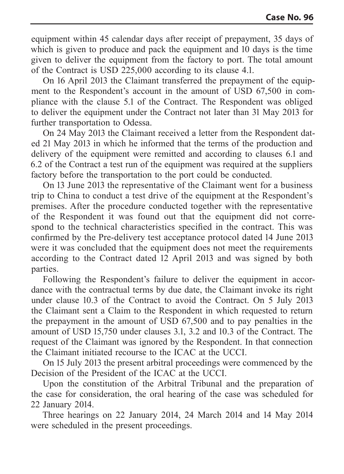equipment within 45 calendar days after receipt of prepayment, 35 days of which is given to produce and pack the equipment and 10 days is the time given to deliver the equipment from the factory to port. The total amount of the Contract is USD 225,000 according to its clause 4.1.

On 16 April 2013 the Claimant transferred the prepayment of the equipment to the Respondent's account in the amount of USD 67,500 in compliance with the clause 5.1 of the Contract. The Respondent was obliged to deliver the equipment under the Contract not later than 31 May 2013 for further transportation to Odessa.

On 24 May 2013 the Claimant received a letter from the Respondent dated 21 May 2013 in which he informed that the terms of the production and delivery of the equipment were remitted and according to clauses 6.1 and 6.2 of the Contract a test run of the equipment was required at the suppliers factory before the transportation to the port could be conducted.

On 13 June 2013 the representative of the Claimant went for a business trip to China to conduct a test drive of the equipment at the Respondent's premises. After the procedure conducted together with the representative of the Respondent it was found out that the equipment did not correspond to the technical characteristics specified in the contract. This was confirmed by the Pre-delivery test acceptance protocol dated 14 June 2013 were it was concluded that the equipment does not meet the requirements according to the Contract dated 12 April 2013 and was signed by both parties.

Following the Respondent's failure to deliver the equipment in accordance with the contractual terms by due date, the Claimant invoke its right under clause 10.3 of the Contract to avoid the Contract. On 5 July 2013 the Claimant sent a Claim to the Respondent in which requested to return the prepayment in the amount of USD 67,500 and to pay penalties in the amount of USD 15,750 under clauses 3.1, 3.2 and 10.3 of the Contract. The request of the Claimant was ignored by the Respondent. In that connection the Claimant initiated recourse to the ICAC at the UCCI.

On 15 July 2013 the present arbitral proceedings were commenced by the Decision of the President of the ICAC at the UCCI.

Upon the constitution of the Arbitral Tribunal and the preparation of the case for consideration, the oral hearing of the case was scheduled for 22 January 2014.

Three hearings on 22 January 2014, 24 March 2014 and 14 May 2014 were scheduled in the present proceedings.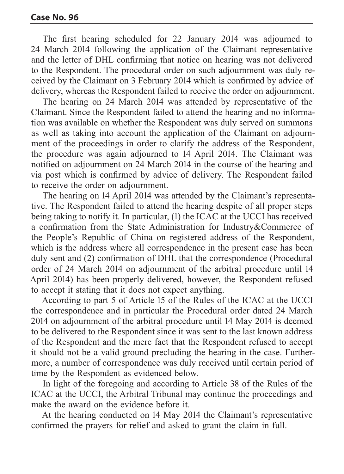The first hearing scheduled for 22 January 2014 was adjourned to 24 March 2014 following the application of the Claimant representative and the letter of DHL confirming that notice on hearing was not delivered to the Respondent. The procedural order on such adjournment was duly received by the Claimant on 3 February 2014 which is confirmed by advice of delivery, whereas the Respondent failed to receive the order on adjournment.

The hearing on 24 March 2014 was attended by representative of the Claimant. Since the Respondent failed to attend the hearing and no information was available on whether the Respondent was duly served on summons as well as taking into account the application of the Claimant on adjournment of the proceedings in order to clarify the address of the Respondent, the procedure was again adjourned to 14 April 2014. The Claimant was notified on adjournment on 24 March 2014 in the course of the hearing and via post which is confirmed by advice of delivery. The Respondent failed to receive the order on adjournment.

The hearing on 14 April 2014 was attended by the Claimant's representative. The Respondent failed to attend the hearing despite of all proper steps being taking to notify it. In particular, (1) the ICAC at the UCCI has received a confirmation from the State Administration for Industry&Commerce of the People's Republic of China on registered address of the Respondent, which is the address where all correspondence in the present case has been duly sent and (2) confirmation of DHL that the correspondence (Procedural order of 24 March 2014 on adjournment of the arbitral procedure until 14 April 2014) has been properly delivered, however, the Respondent refused to accept it stating that it does not expect anything.

According to part 5 of Article 15 of the Rules of the ICAC at the UCCI the correspondence and in particular the Procedural order dated 24 March 2014 on adjournment of the arbitral procedure until 14 May 2014 is deemed to be delivered to the Respondent since it was sent to the last known address of the Respondent and the mere fact that the Respondent refused to accept it should not be a valid ground precluding the hearing in the case. Furthermore, a number of correspondence was duly received until certain period of time by the Respondent as evidenced below.

In light of the foregoing and according to Article 38 of the Rules of the ICAC at the UCCI, the Arbitral Tribunal may continue the proceedings and make the award on the evidence before it.

At the hearing conducted on 14 May 2014 the Claimant's representative confirmed the prayers for relief and asked to grant the claim in full.